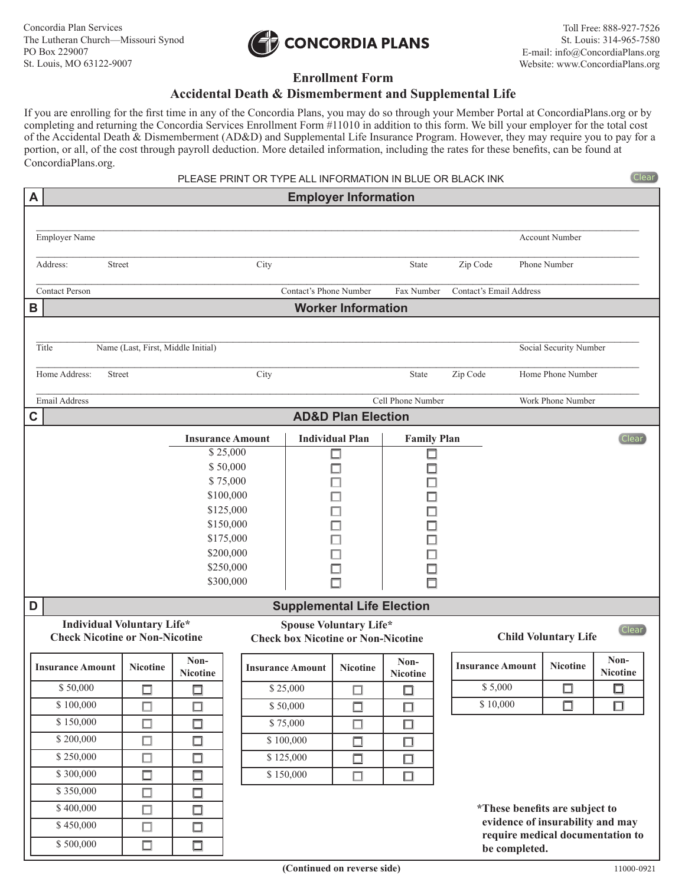

## **Enrollment Form**

## **Accidental Death & Dismemberment and Supplemental Life**

If you are enrolling for the first time in any of the Concordia Plans, you may do so through your Member Portal at ConcordiaPlans.org or by completing and returning the Concordia Services Enrollment Form #11010 in addition to this form. We bill your employer for the total cost of the Accidental Death & Dismemberment (AD&D) and Supplemental Life Insurance Program. However, they may require you to pay for a portion, or all, of the cost through payroll deduction. More detailed information, including the rates for these benefits, can be found at ConcordiaPlans.org.

| PLEASE PRINT OR TYPE ALL INFORMATION IN BLUE OR BLACK INK<br>(Clear)                                                                                                                               |                                                              |                  |                         |                         |                               |                    |              |                                |                                                                      |                         |  |
|----------------------------------------------------------------------------------------------------------------------------------------------------------------------------------------------------|--------------------------------------------------------------|------------------|-------------------------|-------------------------|-------------------------------|--------------------|--------------|--------------------------------|----------------------------------------------------------------------|-------------------------|--|
| A<br><b>Employer Information</b>                                                                                                                                                                   |                                                              |                  |                         |                         |                               |                    |              |                                |                                                                      |                         |  |
|                                                                                                                                                                                                    |                                                              |                  |                         |                         |                               |                    |              |                                |                                                                      |                         |  |
| Employer Name                                                                                                                                                                                      |                                                              |                  |                         |                         |                               |                    |              |                                | <b>Account Number</b>                                                |                         |  |
| Address:<br>City<br>Street                                                                                                                                                                         |                                                              |                  |                         | State                   |                               | Zip Code           | Phone Number |                                |                                                                      |                         |  |
| <b>Contact Person</b>                                                                                                                                                                              |                                                              |                  |                         | Contact's Phone Number  |                               | Fax Number         |              | Contact's Email Address        |                                                                      |                         |  |
| B                                                                                                                                                                                                  | <b>Worker Information</b>                                    |                  |                         |                         |                               |                    |              |                                |                                                                      |                         |  |
|                                                                                                                                                                                                    |                                                              |                  |                         |                         |                               |                    |              |                                |                                                                      |                         |  |
| Title                                                                                                                                                                                              | Name (Last, First, Middle Initial)<br>Social Security Number |                  |                         |                         |                               |                    |              |                                |                                                                      |                         |  |
| Home Address:<br>City<br>Street                                                                                                                                                                    |                                                              |                  |                         |                         | State                         |                    |              |                                | Zip Code<br>Home Phone Number                                        |                         |  |
| <b>Email Address</b>                                                                                                                                                                               |                                                              |                  |                         |                         |                               | Cell Phone Number  |              |                                | Work Phone Number                                                    |                         |  |
| C                                                                                                                                                                                                  |                                                              |                  |                         |                         | <b>AD&amp;D Plan Election</b> |                    |              |                                |                                                                      |                         |  |
|                                                                                                                                                                                                    |                                                              |                  | <b>Insurance Amount</b> |                         | <b>Individual Plan</b>        | <b>Family Plan</b> |              |                                |                                                                      | (Clear)                 |  |
|                                                                                                                                                                                                    | \$25,000                                                     |                  |                         |                         |                               | □                  |              |                                |                                                                      |                         |  |
|                                                                                                                                                                                                    |                                                              |                  | \$50,000                |                         |                               |                    |              |                                |                                                                      |                         |  |
|                                                                                                                                                                                                    |                                                              |                  | \$75,000<br>\$100,000   |                         |                               |                    |              |                                |                                                                      |                         |  |
|                                                                                                                                                                                                    |                                                              |                  | \$125,000               |                         |                               |                    |              |                                |                                                                      |                         |  |
|                                                                                                                                                                                                    |                                                              |                  | \$150,000               |                         |                               |                    |              |                                |                                                                      |                         |  |
|                                                                                                                                                                                                    |                                                              |                  | \$175,000               |                         |                               |                    |              |                                |                                                                      |                         |  |
|                                                                                                                                                                                                    |                                                              |                  | \$200,000               |                         |                               |                    |              |                                |                                                                      |                         |  |
| \$250,000                                                                                                                                                                                          |                                                              |                  |                         |                         |                               |                    |              |                                |                                                                      |                         |  |
|                                                                                                                                                                                                    | \$300,000                                                    |                  |                         |                         |                               |                    |              |                                |                                                                      |                         |  |
| <b>Supplemental Life Election</b><br>D                                                                                                                                                             |                                                              |                  |                         |                         |                               |                    |              |                                |                                                                      |                         |  |
| <b>Individual Voluntary Life*</b><br><b>Spouse Voluntary Life*</b><br>(Clear)<br><b>Child Voluntary Life</b><br><b>Check Nicotine or Non-Nicotine</b><br><b>Check box Nicotine or Non-Nicotine</b> |                                                              |                  |                         |                         |                               |                    |              |                                |                                                                      |                         |  |
| <b>Insurance Amount</b>                                                                                                                                                                            | <b>Nicotine</b>                                              | Non-<br>Nicotine |                         | <b>Insurance Amount</b> | Nicotine                      | Non-<br>Nicotine   |              | <b>Insurance Amount</b>        | <b>Nicotine</b>                                                      | Non-<br><b>Nicotine</b> |  |
| \$50,000                                                                                                                                                                                           | $\Box$                                                       | □                |                         | \$25,000                |                               | □                  |              | \$5,000                        | $\Box$                                                               | □                       |  |
| \$100,000                                                                                                                                                                                          | $\Box$                                                       | $\Box$           |                         | \$50,000                |                               | □                  |              | \$10,000                       | $\square$                                                            | $\Box$                  |  |
| \$150,000                                                                                                                                                                                          | $\Box$                                                       | 口                |                         | \$75,000                |                               | $\Box$             |              |                                |                                                                      |                         |  |
| \$200,000                                                                                                                                                                                          | $\Box$                                                       | $\Box$           |                         | \$100,000               |                               | $\Box$             |              |                                |                                                                      |                         |  |
| \$250,000                                                                                                                                                                                          | $\Box$                                                       | $\Box$           |                         | \$125,000               | $\Box$                        | $\Box$             |              |                                |                                                                      |                         |  |
| \$300,000                                                                                                                                                                                          | $\Box$                                                       | □                |                         | \$150,000               | $\Box$                        | $\Box$             |              |                                |                                                                      |                         |  |
| \$350,000                                                                                                                                                                                          | $\Box$                                                       | □                |                         |                         |                               |                    |              |                                |                                                                      |                         |  |
| \$400,000                                                                                                                                                                                          | $\Box$                                                       | $\Box$           |                         |                         |                               |                    |              | *These benefits are subject to |                                                                      |                         |  |
| \$450,000                                                                                                                                                                                          | $\Box$                                                       | 口                |                         |                         |                               |                    |              |                                | evidence of insurability and may<br>require medical documentation to |                         |  |
| \$500,000                                                                                                                                                                                          | $\Box$                                                       | $\Box$           |                         |                         |                               |                    |              | be completed.                  |                                                                      |                         |  |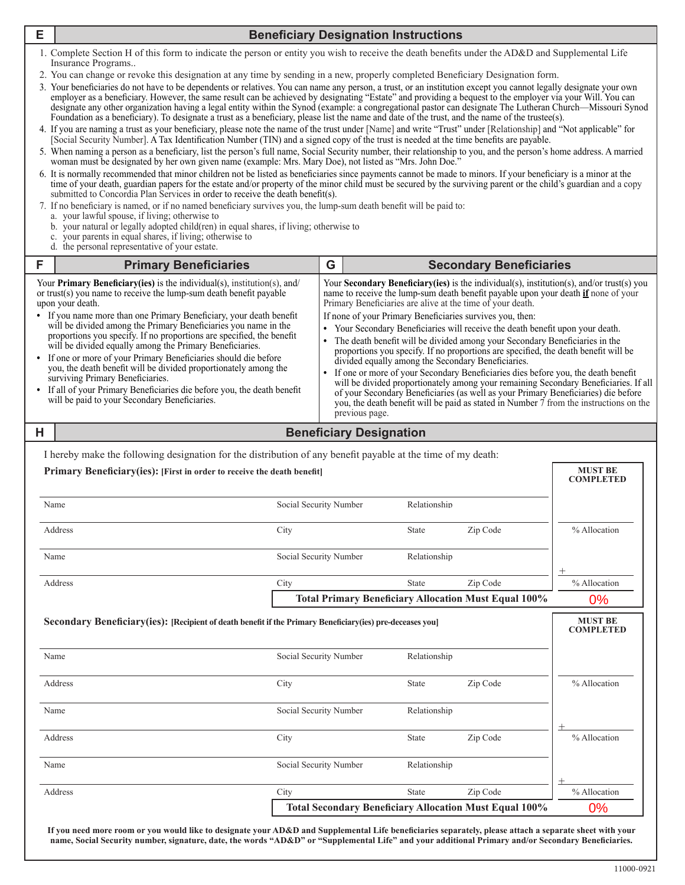|                                                                                                                                                                                                                                                                                                                                                                                                                                                                                                                                                                                                                                                                                                                                                                                                                                                                                                                                                                                                                                                                                                                                                                                                                                                                                                                                                                                                                                                                                                                                                                                                                                                                                                                                                                                        | оніан тива ос цезіднаюці бу нег ом'я діусігнаню (сланіріс, іміз, іміату Doc), ної няюці аз - іміз, зонн Do<br>6. It is normally recommended that minor children not be listed as beneficiaries since payments cannot be made to minors. If your beneficiary is a minor at the<br>time of your death, guardian papers for the estate and/or property of the minor child must be secured by the surviving parent or the child's guardian and a copy<br>submitted to Concordia Plan Services in order to receive the death benefit(s).<br>7. If no beneficiary is named, or if no named beneficiary survives you, the lump-sum death benefit will be paid to:<br>a. your lawful spouse, if living; otherwise to<br>b. your natural or legally adopted child(ren) in equal shares, if living; otherwise to<br>c. your parents in equal shares, if living; otherwise to<br>d. the personal representative of your estate. |                                                          |                                     |                                |                                       |                                                               |                                                    |
|----------------------------------------------------------------------------------------------------------------------------------------------------------------------------------------------------------------------------------------------------------------------------------------------------------------------------------------------------------------------------------------------------------------------------------------------------------------------------------------------------------------------------------------------------------------------------------------------------------------------------------------------------------------------------------------------------------------------------------------------------------------------------------------------------------------------------------------------------------------------------------------------------------------------------------------------------------------------------------------------------------------------------------------------------------------------------------------------------------------------------------------------------------------------------------------------------------------------------------------------------------------------------------------------------------------------------------------------------------------------------------------------------------------------------------------------------------------------------------------------------------------------------------------------------------------------------------------------------------------------------------------------------------------------------------------------------------------------------------------------------------------------------------------|----------------------------------------------------------------------------------------------------------------------------------------------------------------------------------------------------------------------------------------------------------------------------------------------------------------------------------------------------------------------------------------------------------------------------------------------------------------------------------------------------------------------------------------------------------------------------------------------------------------------------------------------------------------------------------------------------------------------------------------------------------------------------------------------------------------------------------------------------------------------------------------------------------------------|----------------------------------------------------------|-------------------------------------|--------------------------------|---------------------------------------|---------------------------------------------------------------|----------------------------------------------------|
| F                                                                                                                                                                                                                                                                                                                                                                                                                                                                                                                                                                                                                                                                                                                                                                                                                                                                                                                                                                                                                                                                                                                                                                                                                                                                                                                                                                                                                                                                                                                                                                                                                                                                                                                                                                                      | <b>Primary Beneficiaries</b>                                                                                                                                                                                                                                                                                                                                                                                                                                                                                                                                                                                                                                                                                                                                                                                                                                                                                         |                                                          | G<br><b>Secondary Beneficiaries</b> |                                |                                       |                                                               |                                                    |
| Your <b>Secondary Beneficiary (ies)</b> is the individual(s), institution(s), and/or trust(s) you<br>Your <b>Primary Beneficiary(ies)</b> is the individual(s), institution(s), and/<br>or trust(s) you name to receive the lump-sum death benefit payable<br>name to receive the lump-sum death benefit payable upon your death if none of your<br>upon your death.<br>Primary Beneficiaries are alive at the time of your death.<br>• If you name more than one Primary Beneficiary, your death benefit<br>If none of your Primary Beneficiaries survives you, then:<br>will be divided among the Primary Beneficiaries you name in the<br>• Your Secondary Beneficiaries will receive the death benefit upon your death.<br>proportions you specify. If no proportions are specified, the benefit<br>• The death benefit will be divided among your Secondary Beneficiaries in the<br>will be divided equally among the Primary Beneficiaries.<br>proportions you specify. If no proportions are specified, the death benefit will be<br>• If one or more of your Primary Beneficiaries should die before<br>divided equally among the Secondary Beneficiaries.<br>you, the death benefit will be divided proportionately among the<br>If one or more of your Secondary Beneficiaries dies before you, the death benefit<br>surviving Primary Beneficiaries.<br>will be divided proportionately among your remaining Secondary Beneficiaries. If all<br>• If all of your Primary Beneficiaries die before you, the death benefit<br>of your Secondary Beneficiaries (as well as your Primary Beneficiaries) die before<br>will be paid to your Secondary Beneficiaries.<br>you, the death benefit will be paid as stated in Number 7 from the instructions on the<br>previous page. |                                                                                                                                                                                                                                                                                                                                                                                                                                                                                                                                                                                                                                                                                                                                                                                                                                                                                                                      |                                                          |                                     |                                |                                       |                                                               |                                                    |
| Н                                                                                                                                                                                                                                                                                                                                                                                                                                                                                                                                                                                                                                                                                                                                                                                                                                                                                                                                                                                                                                                                                                                                                                                                                                                                                                                                                                                                                                                                                                                                                                                                                                                                                                                                                                                      |                                                                                                                                                                                                                                                                                                                                                                                                                                                                                                                                                                                                                                                                                                                                                                                                                                                                                                                      |                                                          |                                     | <b>Beneficiary Designation</b> |                                       |                                                               |                                                    |
|                                                                                                                                                                                                                                                                                                                                                                                                                                                                                                                                                                                                                                                                                                                                                                                                                                                                                                                                                                                                                                                                                                                                                                                                                                                                                                                                                                                                                                                                                                                                                                                                                                                                                                                                                                                        | Primary Beneficiary (ies): [First in order to receive the death benefit]<br>Name<br>Address<br>Name                                                                                                                                                                                                                                                                                                                                                                                                                                                                                                                                                                                                                                                                                                                                                                                                                  | Social Security Number<br>City<br>Social Security Number |                                     |                                | Relationship<br>State<br>Relationship | Zip Code                                                      | <b>MUST BE</b><br><b>COMPLETED</b><br>% Allocation |
|                                                                                                                                                                                                                                                                                                                                                                                                                                                                                                                                                                                                                                                                                                                                                                                                                                                                                                                                                                                                                                                                                                                                                                                                                                                                                                                                                                                                                                                                                                                                                                                                                                                                                                                                                                                        | Address                                                                                                                                                                                                                                                                                                                                                                                                                                                                                                                                                                                                                                                                                                                                                                                                                                                                                                              | City                                                     |                                     |                                | State                                 | Zip Code                                                      | % Allocation                                       |
|                                                                                                                                                                                                                                                                                                                                                                                                                                                                                                                                                                                                                                                                                                                                                                                                                                                                                                                                                                                                                                                                                                                                                                                                                                                                                                                                                                                                                                                                                                                                                                                                                                                                                                                                                                                        |                                                                                                                                                                                                                                                                                                                                                                                                                                                                                                                                                                                                                                                                                                                                                                                                                                                                                                                      |                                                          |                                     |                                |                                       | <b>Total Primary Beneficiary Allocation Must Equal 100%</b>   | 0%                                                 |
|                                                                                                                                                                                                                                                                                                                                                                                                                                                                                                                                                                                                                                                                                                                                                                                                                                                                                                                                                                                                                                                                                                                                                                                                                                                                                                                                                                                                                                                                                                                                                                                                                                                                                                                                                                                        | <b>MUST BE</b><br>Secondary Beneficiary(ies): [Recipient of death benefit if the Primary Beneficiary(ies) pre-deceases you]<br><b>COMPLETED</b>                                                                                                                                                                                                                                                                                                                                                                                                                                                                                                                                                                                                                                                                                                                                                                      |                                                          |                                     |                                |                                       |                                                               |                                                    |
|                                                                                                                                                                                                                                                                                                                                                                                                                                                                                                                                                                                                                                                                                                                                                                                                                                                                                                                                                                                                                                                                                                                                                                                                                                                                                                                                                                                                                                                                                                                                                                                                                                                                                                                                                                                        | Name                                                                                                                                                                                                                                                                                                                                                                                                                                                                                                                                                                                                                                                                                                                                                                                                                                                                                                                 | Social Security Number                                   |                                     |                                | Relationship                          |                                                               |                                                    |
|                                                                                                                                                                                                                                                                                                                                                                                                                                                                                                                                                                                                                                                                                                                                                                                                                                                                                                                                                                                                                                                                                                                                                                                                                                                                                                                                                                                                                                                                                                                                                                                                                                                                                                                                                                                        | Address                                                                                                                                                                                                                                                                                                                                                                                                                                                                                                                                                                                                                                                                                                                                                                                                                                                                                                              | City                                                     |                                     |                                | State                                 | Zip Code                                                      | % Allocation                                       |
|                                                                                                                                                                                                                                                                                                                                                                                                                                                                                                                                                                                                                                                                                                                                                                                                                                                                                                                                                                                                                                                                                                                                                                                                                                                                                                                                                                                                                                                                                                                                                                                                                                                                                                                                                                                        | Name                                                                                                                                                                                                                                                                                                                                                                                                                                                                                                                                                                                                                                                                                                                                                                                                                                                                                                                 | Social Security Number                                   |                                     |                                | Relationship                          |                                                               |                                                    |
| Address                                                                                                                                                                                                                                                                                                                                                                                                                                                                                                                                                                                                                                                                                                                                                                                                                                                                                                                                                                                                                                                                                                                                                                                                                                                                                                                                                                                                                                                                                                                                                                                                                                                                                                                                                                                |                                                                                                                                                                                                                                                                                                                                                                                                                                                                                                                                                                                                                                                                                                                                                                                                                                                                                                                      | City                                                     |                                     |                                | State                                 | Zip Code                                                      | % Allocation                                       |
| Name                                                                                                                                                                                                                                                                                                                                                                                                                                                                                                                                                                                                                                                                                                                                                                                                                                                                                                                                                                                                                                                                                                                                                                                                                                                                                                                                                                                                                                                                                                                                                                                                                                                                                                                                                                                   |                                                                                                                                                                                                                                                                                                                                                                                                                                                                                                                                                                                                                                                                                                                                                                                                                                                                                                                      | Social Security Number                                   |                                     | Relationship                   |                                       |                                                               |                                                    |
|                                                                                                                                                                                                                                                                                                                                                                                                                                                                                                                                                                                                                                                                                                                                                                                                                                                                                                                                                                                                                                                                                                                                                                                                                                                                                                                                                                                                                                                                                                                                                                                                                                                                                                                                                                                        | Address                                                                                                                                                                                                                                                                                                                                                                                                                                                                                                                                                                                                                                                                                                                                                                                                                                                                                                              | City                                                     |                                     |                                | State                                 | Zip Code                                                      | % Allocation                                       |
|                                                                                                                                                                                                                                                                                                                                                                                                                                                                                                                                                                                                                                                                                                                                                                                                                                                                                                                                                                                                                                                                                                                                                                                                                                                                                                                                                                                                                                                                                                                                                                                                                                                                                                                                                                                        |                                                                                                                                                                                                                                                                                                                                                                                                                                                                                                                                                                                                                                                                                                                                                                                                                                                                                                                      |                                                          |                                     |                                |                                       | <b>Total Secondary Beneficiary Allocation Must Equal 100%</b> | 0%                                                 |

**If you need more room or you would like to designate your AD&D and Supplemental Life beneficiaries separately, please attach a separate sheet with your** 

1. Complete Section H of this form to indicate the person or entity you wish to receive the death benefits under the AD&D and Supplemental Life Insurance Programs..

2. You can change or revoke this designation at any time by sending in a new, properly completed Beneficiary Designation form.

3. Your beneficiaries do not have to be dependents or relatives. You can name any person, a trust, or an institution except you cannot legally designate your own employer as a beneficiary. However, the same result can be achieved by designating "Estate" and providing a bequest to the employer via your Will. You can designate any other organization having a legal entity within the Synod (example: a congregational pastor can designate The Lutheran Church—Missouri Synod Foundation as a beneficiary). To designate a trust as a beneficiary, please list the name and date of the trust, and the name of the trustee(s).

4. If you are naming a trust as your beneficiary, please note the name of the trust under [Name] and write "Trust" under [Relationship] and "Not applicable" for [Social Security Number]. A Tax Identification Number (TIN) and a signed copy of the trust is needed at the time benefits are payable.

5. When naming a person as a beneficiary, list the person's full name, Social Security number, their relationship to you, and the person's home address. A married aan must be designated by her own given name (example: Mrs. Mary Doe), not listed as "Mrs. John Doe

# **E Beneficiary Designation Instructions**